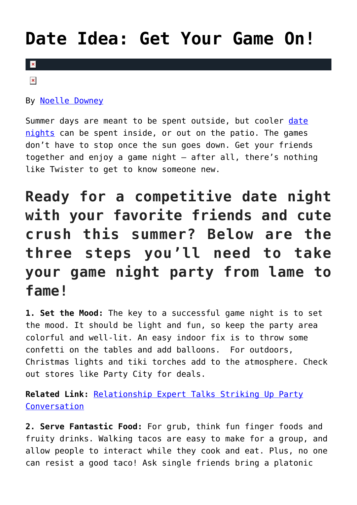## **[Date Idea: Get Your Game On!](https://cupidspulse.com/118231/date-idea-get-game-on-weekend/)**

## $\overline{\mathbf{x}}$

 $\pmb{\times}$ 

By [Noelle Downey](http://cupidspulse.com/117903/noelle-downey/)

Summer days are meant to be spent outside, but cooler [date](http://cupidspulse.com/love/weekend-date-ideas/) [nights](http://cupidspulse.com/love/weekend-date-ideas/) can be spent inside, or out on the patio. The games don't have to stop once the sun goes down. Get your friends together and enjoy a game night – after all, there's nothing like Twister to get to know someone new.

## **Ready for a competitive date night with your favorite friends and cute crush this summer? Below are the three steps you'll need to take your game night party from lame to fame!**

**1. Set the Mood:** The key to a successful game night is to set the mood. It should be light and fun, so keep the party area colorful and well-lit. An easy indoor fix is to throw some confetti on the tables and add balloons. For outdoors, Christmas lights and tiki torches add to the atmosphere. Check out stores like Party City for deals.

**Related Link:** [Relationship Expert Talks Striking Up Party](http://cupidspulse.com/100578/relationship-expert-party-conversation/) [Conversation](http://cupidspulse.com/100578/relationship-expert-party-conversation/)

**2. Serve Fantastic Food:** For grub, think fun finger foods and fruity drinks. Walking tacos are easy to make for a group, and allow people to interact while they cook and eat. Plus, no one can resist a good taco! Ask single friends bring a platonic